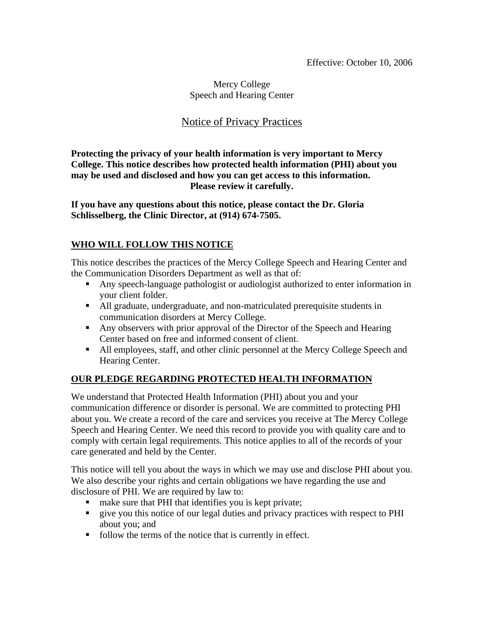### Mercy College Speech and Hearing Center

# Notice of Privacy Practices

**Protecting the privacy of your health information is very important to Mercy College. This notice describes how protected health information (PHI) about you may be used and disclosed and how you can get access to this information. Please review it carefully.** 

**If you have any questions about this notice, please contact the Dr. Gloria Schlisselberg, the Clinic Director, at (914) 674-7505.** 

# **WHO WILL FOLLOW THIS NOTICE**

This notice describes the practices of the Mercy College Speech and Hearing Center and the Communication Disorders Department as well as that of:

- Any speech-language pathologist or audiologist authorized to enter information in your client folder.
- All graduate, undergraduate, and non-matriculated prerequisite students in communication disorders at Mercy College.
- Any observers with prior approval of the Director of the Speech and Hearing Center based on free and informed consent of client.
- All employees, staff, and other clinic personnel at the Mercy College Speech and Hearing Center.

# **OUR PLEDGE REGARDING PROTECTED HEALTH INFORMATION**

We understand that Protected Health Information (PHI) about you and your communication difference or disorder is personal. We are committed to protecting PHI about you. We create a record of the care and services you receive at The Mercy College Speech and Hearing Center. We need this record to provide you with quality care and to comply with certain legal requirements. This notice applies to all of the records of your care generated and held by the Center.

This notice will tell you about the ways in which we may use and disclose PHI about you. We also describe your rights and certain obligations we have regarding the use and disclosure of PHI. We are required by law to:

- make sure that PHI that identifies you is kept private;
- give you this notice of our legal duties and privacy practices with respect to PHI about you; and
- follow the terms of the notice that is currently in effect.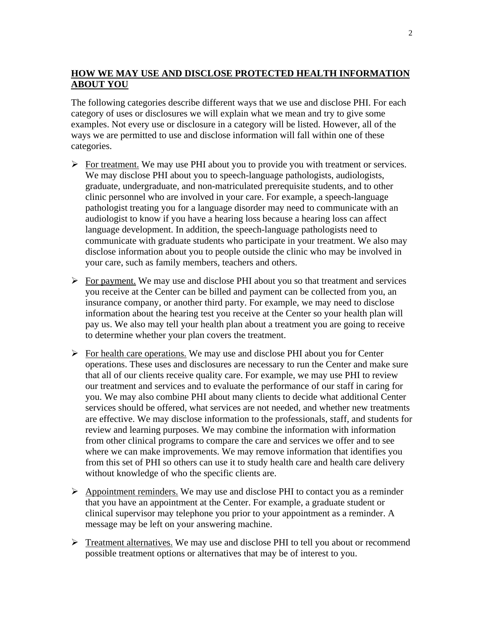### **HOW WE MAY USE AND DISCLOSE PROTECTED HEALTH INFORMATION ABOUT YOU**

The following categories describe different ways that we use and disclose PHI. For each category of uses or disclosures we will explain what we mean and try to give some examples. Not every use or disclosure in a category will be listed. However, all of the ways we are permitted to use and disclose information will fall within one of these categories.

- $\triangleright$  For treatment. We may use PHI about you to provide you with treatment or services. We may disclose PHI about you to speech-language pathologists, audiologists, graduate, undergraduate, and non-matriculated prerequisite students, and to other clinic personnel who are involved in your care. For example, a speech-language pathologist treating you for a language disorder may need to communicate with an audiologist to know if you have a hearing loss because a hearing loss can affect language development. In addition, the speech-language pathologists need to communicate with graduate students who participate in your treatment. We also may disclose information about you to people outside the clinic who may be involved in your care, such as family members, teachers and others.
- $\triangleright$  For payment. We may use and disclose PHI about you so that treatment and services you receive at the Center can be billed and payment can be collected from you, an insurance company, or another third party. For example, we may need to disclose information about the hearing test you receive at the Center so your health plan will pay us. We also may tell your health plan about a treatment you are going to receive to determine whether your plan covers the treatment.
- $\triangleright$  For health care operations. We may use and disclose PHI about you for Center operations. These uses and disclosures are necessary to run the Center and make sure that all of our clients receive quality care. For example, we may use PHI to review our treatment and services and to evaluate the performance of our staff in caring for you. We may also combine PHI about many clients to decide what additional Center services should be offered, what services are not needed, and whether new treatments are effective. We may disclose information to the professionals, staff, and students for review and learning purposes. We may combine the information with information from other clinical programs to compare the care and services we offer and to see where we can make improvements. We may remove information that identifies you from this set of PHI so others can use it to study health care and health care delivery without knowledge of who the specific clients are.
- $\triangleright$  Appointment reminders. We may use and disclose PHI to contact you as a reminder that you have an appointment at the Center. For example, a graduate student or clinical supervisor may telephone you prior to your appointment as a reminder. A message may be left on your answering machine.
- $\triangleright$  Treatment alternatives. We may use and disclose PHI to tell you about or recommend possible treatment options or alternatives that may be of interest to you.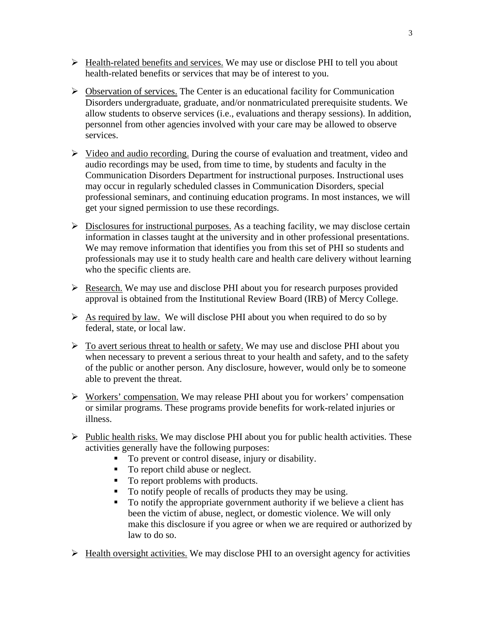- $\triangleright$  Health-related benefits and services. We may use or disclose PHI to tell you about health-related benefits or services that may be of interest to you.
- $\triangleright$  Observation of services. The Center is an educational facility for Communication Disorders undergraduate, graduate, and/or nonmatriculated prerequisite students. We allow students to observe services (i.e., evaluations and therapy sessions). In addition, personnel from other agencies involved with your care may be allowed to observe services.
- $\triangleright$  Video and audio recording. During the course of evaluation and treatment, video and audio recordings may be used, from time to time, by students and faculty in the Communication Disorders Department for instructional purposes. Instructional uses may occur in regularly scheduled classes in Communication Disorders, special professional seminars, and continuing education programs. In most instances, we will get your signed permission to use these recordings.
- $\triangleright$  Disclosures for instructional purposes. As a teaching facility, we may disclose certain information in classes taught at the university and in other professional presentations. We may remove information that identifies you from this set of PHI so students and professionals may use it to study health care and health care delivery without learning who the specific clients are.
- $\triangleright$  Research. We may use and disclose PHI about you for research purposes provided approval is obtained from the Institutional Review Board (IRB) of Mercy College.
- $\triangleright$  As required by law. We will disclose PHI about you when required to do so by federal, state, or local law.
- $\triangleright$  To avert serious threat to health or safety. We may use and disclose PHI about you when necessary to prevent a serious threat to your health and safety, and to the safety of the public or another person. Any disclosure, however, would only be to someone able to prevent the threat.
- $\triangleright$  Workers' compensation. We may release PHI about you for workers' compensation or similar programs. These programs provide benefits for work-related injuries or illness.
- $\triangleright$  Public health risks. We may disclose PHI about you for public health activities. These activities generally have the following purposes:
	- To prevent or control disease, injury or disability.
	- To report child abuse or neglect.
	- To report problems with products.
	- To notify people of recalls of products they may be using.
	- To notify the appropriate government authority if we believe a client has been the victim of abuse, neglect, or domestic violence. We will only make this disclosure if you agree or when we are required or authorized by law to do so.
- $\triangleright$  Health oversight activities. We may disclose PHI to an oversight agency for activities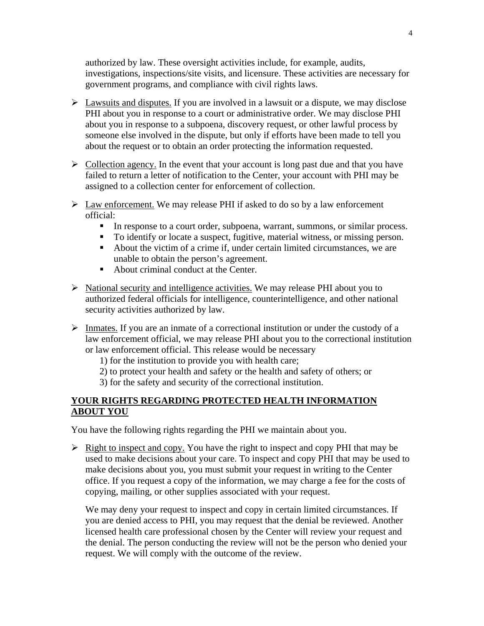authorized by law. These oversight activities include, for example, audits, investigations, inspections/site visits, and licensure. These activities are necessary for government programs, and compliance with civil rights laws.

- $\triangleright$  Lawsuits and disputes. If you are involved in a lawsuit or a dispute, we may disclose PHI about you in response to a court or administrative order. We may disclose PHI about you in response to a subpoena, discovery request, or other lawful process by someone else involved in the dispute, but only if efforts have been made to tell you about the request or to obtain an order protecting the information requested.
- $\triangleright$  Collection agency. In the event that your account is long past due and that you have failed to return a letter of notification to the Center, your account with PHI may be assigned to a collection center for enforcement of collection.
- $\triangleright$  Law enforcement. We may release PHI if asked to do so by a law enforcement official:
	- In response to a court order, subpoena, warrant, summons, or similar process.
	- To identify or locate a suspect, fugitive, material witness, or missing person.
	- About the victim of a crime if, under certain limited circumstances, we are unable to obtain the person's agreement.
	- About criminal conduct at the Center.
- $\triangleright$  National security and intelligence activities. We may release PHI about you to authorized federal officials for intelligence, counterintelligence, and other national security activities authorized by law.
- ¾ Inmates. If you are an inmate of a correctional institution or under the custody of a law enforcement official, we may release PHI about you to the correctional institution or law enforcement official. This release would be necessary
	- 1) for the institution to provide you with health care;
	- 2) to protect your health and safety or the health and safety of others; or
	- 3) for the safety and security of the correctional institution.

### **YOUR RIGHTS REGARDING PROTECTED HEALTH INFORMATION ABOUT YOU**

You have the following rights regarding the PHI we maintain about you.

 $\triangleright$  Right to inspect and copy. You have the right to inspect and copy PHI that may be used to make decisions about your care. To inspect and copy PHI that may be used to make decisions about you, you must submit your request in writing to the Center office. If you request a copy of the information, we may charge a fee for the costs of copying, mailing, or other supplies associated with your request.

We may deny your request to inspect and copy in certain limited circumstances. If you are denied access to PHI, you may request that the denial be reviewed. Another licensed health care professional chosen by the Center will review your request and the denial. The person conducting the review will not be the person who denied your request. We will comply with the outcome of the review.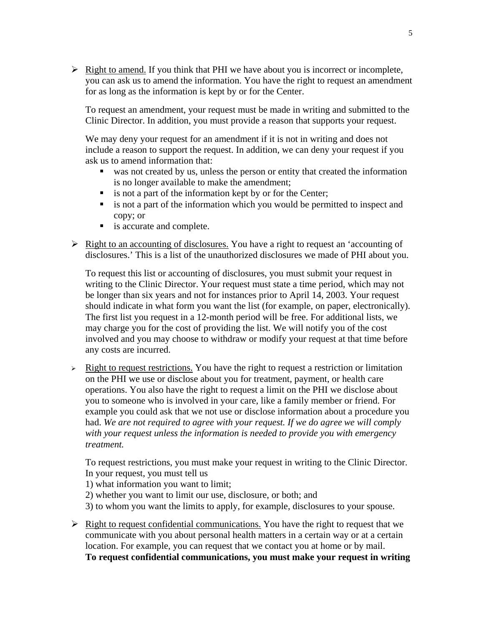$\triangleright$  Right to amend. If you think that PHI we have about you is incorrect or incomplete, you can ask us to amend the information. You have the right to request an amendment for as long as the information is kept by or for the Center.

To request an amendment, your request must be made in writing and submitted to the Clinic Director. In addition, you must provide a reason that supports your request.

We may deny your request for an amendment if it is not in writing and does not include a reason to support the request. In addition, we can deny your request if you ask us to amend information that:

- was not created by us, unless the person or entity that created the information is no longer available to make the amendment;
- $\blacksquare$  is not a part of the information kept by or for the Center;
- is not a part of the information which you would be permitted to inspect and copy; or
- **is accurate and complete.**
- $\triangleright$  Right to an accounting of disclosures. You have a right to request an 'accounting of disclosures.' This is a list of the unauthorized disclosures we made of PHI about you.

To request this list or accounting of disclosures, you must submit your request in writing to the Clinic Director. Your request must state a time period, which may not be longer than six years and not for instances prior to April 14, 2003. Your request should indicate in what form you want the list (for example, on paper, electronically). The first list you request in a 12-month period will be free. For additional lists, we may charge you for the cost of providing the list. We will notify you of the cost involved and you may choose to withdraw or modify your request at that time before any costs are incurred.

 $\geq$  Right to request restrictions. You have the right to request a restriction or limitation on the PHI we use or disclose about you for treatment, payment, or health care operations. You also have the right to request a limit on the PHI we disclose about you to someone who is involved in your care, like a family member or friend. For example you could ask that we not use or disclose information about a procedure you had. *We are not required to agree with your request. If we do agree we will comply with your request unless the information is needed to provide you with emergency treatment.*

To request restrictions, you must make your request in writing to the Clinic Director. In your request, you must tell us

- 1) what information you want to limit;
- 2) whether you want to limit our use, disclosure, or both; and
- 3) to whom you want the limits to apply, for example, disclosures to your spouse.
- $\triangleright$  Right to request confidential communications. You have the right to request that we communicate with you about personal health matters in a certain way or at a certain location. For example, you can request that we contact you at home or by mail. **To request confidential communications, you must make your request in writing**